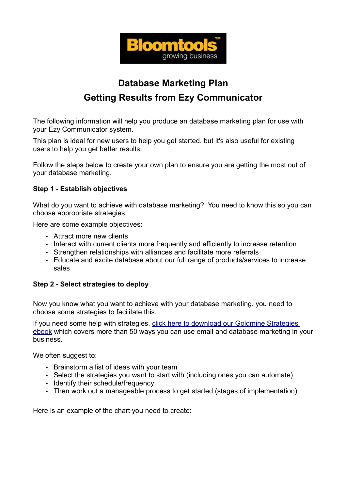

# **Database Marketing Plan Getting Results from Ezy Communicator**

The following information will help you produce an database marketing plan for use with your Ezy Communicator system.

This plan is ideal for new users to help you get started, but it's also useful for existing users to help you get better results.

Follow the steps below to create your own plan to ensure you are getting the most out of your database marketing.

### **Step 1 - Establish objectives**

What do you want to achieve with database marketing? You need to know this so you can choose appropriate strategies.

Here are some example objectives:

- Attract more new clients
- Interact with current clients more frequently and efficiently to increase retention
- Strengthen relationships with alliances and facilitate more referrals
- Educate and excite database about our full range of products/services to increase sales

#### **Step 2 - Select strategies to deploy**

Now you know what you want to achieve with your database marketing, you need to choose some strategies to facilitate this.

If you need some help with strategies, [click here to download our Goldmine Strategies](http://www.bloomtools.com/images/GoldmineStrategiesEbookSub.pdf) [ebook](http://www.bloomtools.com/images/GoldmineStrategiesEbookSub.pdf) which covers more than 50 ways you can use email and database marketing in your business.

We often suggest to:

- Brainstorm a list of ideas with your team
- Select the strategies you want to start with (including ones you can automate)
- Identify their schedule/frequency
- Then work out a manageable process to get started (stages of implementation)

Here is an example of the chart you need to create: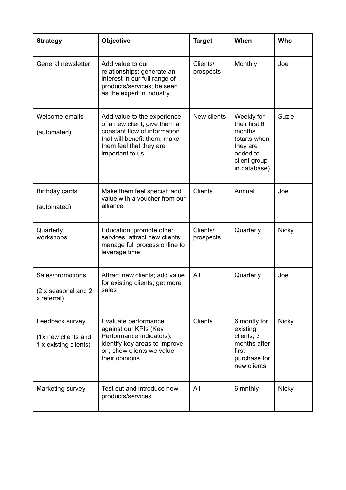| <b>Strategy</b>                                                 | <b>Objective</b>                                                                                                                                                          | <b>Target</b>         | When                                                                                                          | Who          |
|-----------------------------------------------------------------|---------------------------------------------------------------------------------------------------------------------------------------------------------------------------|-----------------------|---------------------------------------------------------------------------------------------------------------|--------------|
| General newsletter                                              | Add value to our<br>relationships; generate an<br>interest in our full range of<br>products/services; be seen<br>as the expert in industry                                | Clients/<br>prospects | Monthly                                                                                                       | Joe          |
| Welcome emails<br>(automated)                                   | Add value to the experience<br>of a new client; give them a<br>constant flow of information<br>that will benefit them; make<br>them feel that they are<br>important to us | New clients           | Weekly for<br>their first 6<br>months<br>(starts when<br>they are<br>added to<br>client group<br>in database) | Suzie        |
| Birthday cards<br>(automated)                                   | Make them feel special; add<br>value with a voucher from our<br>alliance                                                                                                  | <b>Clients</b>        | Annual                                                                                                        | Joe          |
| Quarterly<br>workshops                                          | Education; promote other<br>services; attract new clients;<br>manage full process online to<br>leverage time                                                              | Clients/<br>prospects | Quarterly                                                                                                     | <b>Nicky</b> |
| Sales/promotions<br>(2 x seasonal and 2)<br>x referral)         | Attract new clients; add value<br>for existing clients; get more<br>sales                                                                                                 | All                   | Quarterly                                                                                                     | Joe          |
| Feedback survey<br>(1x new clients and<br>1 x existing clients) | Evaluate performance<br>against our KPIs (Key<br>Performance Indicators);<br>identify key areas to improve<br>on; show clients we value<br>their opinions                 | <b>Clients</b>        | 6 montly for<br>existing<br>clients, 3<br>months after<br>first<br>purchase for<br>new clients                | <b>Nicky</b> |
| Marketing survey                                                | Test out and introduce new<br>products/services                                                                                                                           | All                   | 6 mnthly                                                                                                      | <b>Nicky</b> |